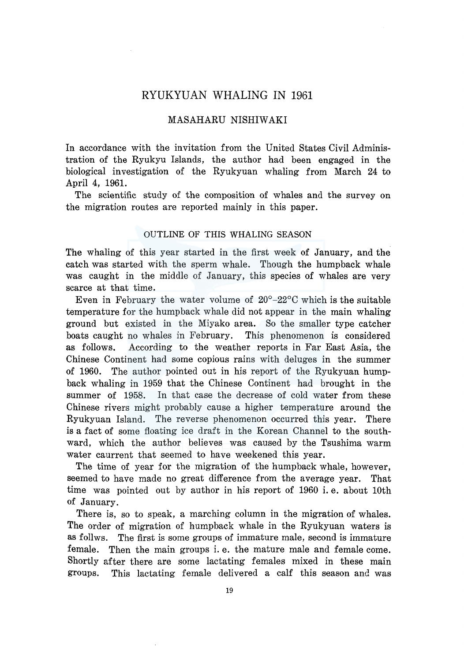# RYUKYUAN WHALING IN 1961

# MASAHARU NISHIW AKI

In accordance with the invitation from the United States Civil Administration of the Ryukyu Islands, the author had been engaged in the biological investigation of the Ryukyuan whaling from March 24 to April 4, 1961.

The scientific study of the composition of whales and the survey on the migration routes are reported mainly in this paper.

### OUTLINE OF THIS WHALING SEASON

The whaling of this year started in the first week of January, and the catch was started with the sperm whale. Though the humpback whale was caught in the middle of January, this species of whales are very scarce at that time.

Even in February the water volume of  $20^{\circ}$ -22 $^{\circ}$ C which is the suitable temperature for the humpback whale did not appear in the main whaling ground but existed in the Miyako area. So the smaller type catcher boats caught no whales in February. This phenomenon is considered as follows. According to the weather reports in Far East Asia, the Chinese Continent had some copious rains with deluges in the summer of 1960. The author pointed out in his report of the Ryukyuan humpback whaling in 1959 that the Chinese Continent had brought in the summer of 1958. In that case the decrease of cold water from these Chinese rivers might probably cause a higher temperature around the Ryukyuan Island. The reverse phenomenon occurred this year. There is a fact of some floating ice draft in the Korean Channel to the southward, which the author believes was caused by the Tsushima warm water caurrent that seemed to have weekened this year.

The time of year for the migration of the humpback whale, however, seemed to have made no great difference from the average year. That time was pointed out by author in his report of 1960 i. e. about lOth of January.

There is, so to speak, a marching column in the migration of whales. The order of migration of humpback whale in the Ryukyuan waters is as follws. The first is some groups of immature male, second is immature female. Then the main groups i. e. the mature male and female come. Shortly after there are some lactating females mixed in these main groups. This lactating female delivered a calf this season and was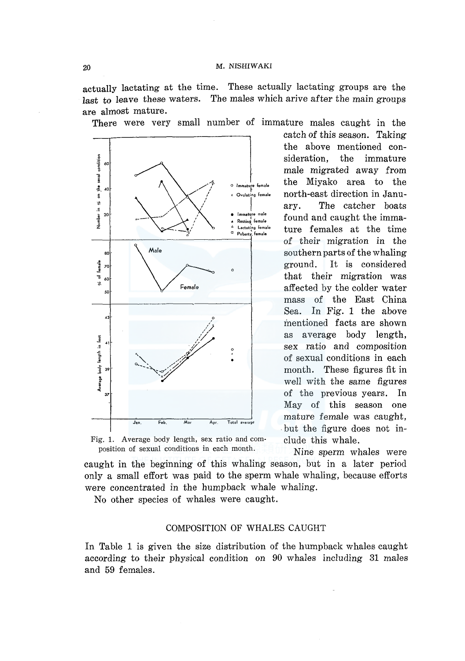actually lactating at the time. These actually lactating groups are the last to leave these waters. The males which arive after the main groups are almost mature.

There were very small number of immature males caught in the



sideration, the immature male migrated away from the Miyako area to the north-east direction in January. The catcher boats found and caught the immature females at the time of their migration in the southern parts of the whaling ground. It is considered that their migration was affected by the colder water mass of the East China Sea. In Fig. 1 the above mentioned facts are shown as average body length, sex ratio and composition of sexual conditions in each month. These figures fit in well with the same figures of the previous years. In May of this season one mature female was caught, . but the figure does not in-

catch of this season. Taking the above mentioned con-

Fig. 1. Average body length, sex ratio and com-clude this whale. position of sexual conditions in each month. Nine sperm whales were

caught in the beginning of this whaling season, but in a later period only a small effort was paid to the sperm whale whaling, because efforts were concentrated in the humpback whale whaling.

No other species of whales were caught.

## COMPOSITION OF WHALES CAUGHT

In Table 1 is given the size distribution of the humpback whales caught according to their physical condition on 90 whales including 31 males and 59 females.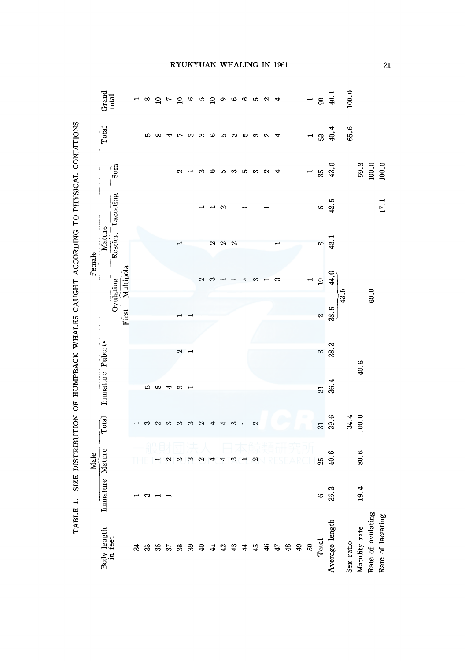| l                                                                                                        |
|----------------------------------------------------------------------------------------------------------|
|                                                                                                          |
|                                                                                                          |
| i<br>)<br>Z                                                                                              |
| ${1 \over 2}$                                                                                            |
|                                                                                                          |
|                                                                                                          |
| いっていしょう くもこ ていきりよく てくしゃ じゅうていしゃく くち アットアンド こうごう ちょうしゃ りく こうぐんもう ちょうじょう じょうしょう しょうしゃく<br>.<br>.<br>.<br>I |
|                                                                                                          |
|                                                                                                          |
| l<br>ׇ֠<br>l                                                                                             |

|        |                                                        |                   |           |   |    |          |                | RYUKYUAN WHALING IN 1961 |                            |              |             |               |            |               |                   |               |                          |                |            |                          |                                           |                                                |                    |                 |                   | $\overline{\mathbf{c}}$ |
|--------|--------------------------------------------------------|-------------------|-----------|---|----|----------|----------------|--------------------------|----------------------------|--------------|-------------|---------------|------------|---------------|-------------------|---------------|--------------------------|----------------|------------|--------------------------|-------------------------------------------|------------------------------------------------|--------------------|-----------------|-------------------|-------------------------|
|        | $\begin{array}{c}\text{Grad}\\\text{total}\end{array}$ |                   |           |   | ∞  |          |                | 272                      |                            |              | congo con a |               |            |               |                   |               | $\overline{\phantom{a}}$ |                |            |                          |                                           | $\begin{array}{c} 1 \\ 90 \\ 40.1 \end{array}$ | 100.0              |                 |                   |                         |
|        | Total                                                  |                   |           |   | 10 | $\infty$ |                |                          | ∾                          | က            | G           | ယ             | က          | S             | S                 | $\sim$        | ₹                        |                |            | $\overline{a}$           |                                           | 59,4                                           | 65.6               |                 |                   |                         |
|        |                                                        | $\int_{\sin x}$   |           |   |    |          |                | N                        |                            | ຕ            | అ           | ပ             | S          | w             | က                 | N             | ◅                        |                |            | $\overline{\phantom{0}}$ | $\begin{array}{c} 35 \\ 43.0 \end{array}$ |                                                |                    |                 |                   | $\frac{59.3}{100.0}$    |
|        |                                                        |                   |           |   |    |          |                |                          |                            |              |             |               |            |               |                   |               |                          |                |            |                          |                                           | $6\frac{42.5}{42.5}$                           |                    |                 |                   | $17.1\,$                |
| Female | Mature                                                 | Resting Lactating |           |   |    |          |                |                          |                            |              | 2           | $\sim$ $\sim$ |            |               |                   |               |                          |                |            |                          |                                           | $8$<br>42.1                                    |                    |                 |                   |                         |
|        |                                                        |                   | Multipola |   |    |          |                |                          |                            | N            | ొ           |               |            |               |                   |               | ∾                        |                |            |                          | $\frac{1}{19}$                            | 4.0                                            |                    |                 |                   |                         |
|        |                                                        | Ovulating         | First     |   |    |          |                |                          |                            |              |             |               |            |               |                   |               |                          |                |            |                          | $\mathbf{\alpha}$                         | $38.5$                                         | $\widetilde{43.5}$ |                 | 60.0              |                         |
|        |                                                        |                   |           |   |    |          |                | 2                        |                            |              |             |               |            |               |                   |               |                          |                |            |                          | $\infty$                                  | 38.3                                           |                    |                 |                   |                         |
| Male   | Immature Puberty                                       |                   |           |   | ю  | ∞        | 4              | S                        |                            |              |             |               |            |               |                   |               |                          |                |            |                          | $\overline{z}$                            | 36.4                                           |                    | 40.6            |                   |                         |
|        | Total                                                  |                   |           |   |    | N        | က              | က                        | က                          | 2            |             |               | ∞          |               | $\mathbf{\Omega}$ |               |                          |                |            |                          | $\overline{\omega}$                       | 39.6                                           |                    | $34.4$<br>100.0 |                   |                         |
|        |                                                        |                   |           |   |    |          |                |                          |                            |              |             |               |            |               |                   |               |                          |                |            |                          | $\mathfrak{g}$                            | 40.6                                           |                    | 80.6            |                   |                         |
|        | Immature Mature                                        |                   |           |   | S  |          |                |                          |                            |              |             |               |            |               |                   |               |                          |                |            |                          | $\circ$                                   | 35.3                                           |                    | 19.4            |                   |                         |
|        | Body length<br>in feet                                 |                   |           | ಸ | 33 | 36       | $\mathfrak{D}$ | 38                       | $\boldsymbol{\mathcal{S}}$ | $\mathsf{Q}$ | 극           | $\ddot{ }$    | $\ddot{3}$ | $\frac{4}{3}$ | $\frac{45}{5}$    | $\frac{4}{5}$ | 47                       | $\frac{48}{5}$ | $6\bar{r}$ | $\mathbb{S}$             | Total                                     | Average length                                 | Sex ratio          | Matulity rate   | Rate of ovulating | Rate of lactating       |

# **JKYUAN WHALING IN 1963**

21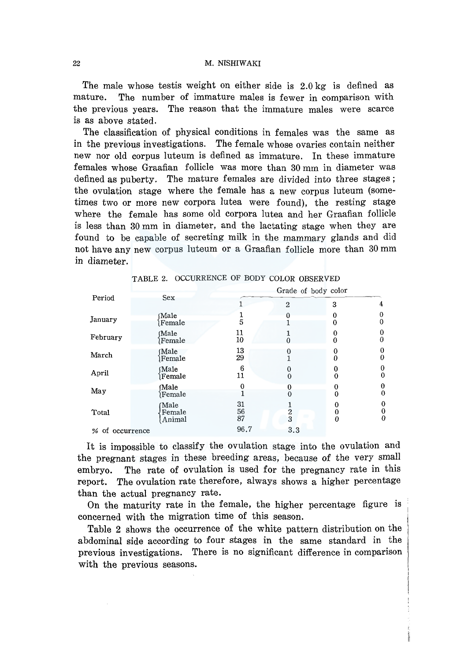The male whose test is weight on either side is  $2.0 \text{ kg}$  is defined as mature. The number of immature males is fewer in comparison with the previous years. The reason that the immature males were scarce is as above stated.

The classification of physical conditions in females was the same as in the previous investigations. The female whose ovaries contain neither new nor old corpus luteum is defined as immature. In these immature females whose Graafian follicle was more than 30 mm in diameter was defined as puberty. The mature females are divided into three stages; the ovulation stage where the female has a new corpus luteum (sometimes two or more new corpora lutea were found), the resting stage where the female has some old corpora lutea and her Graafian follicle is less than 30 mm in diameter, and the lactating stage when they are found to be capable of secreting milk in the mammary glands and did not have any new corpus luteum or a Graafian follicle more than 30 mm in diameter.

|                 |                          | Grade of body color |               |   |               |  |  |  |  |
|-----------------|--------------------------|---------------------|---------------|---|---------------|--|--|--|--|
| Period          | Sex                      |                     | 2             | 3 | 4             |  |  |  |  |
| January         | Male<br>Female           | 5                   |               |   | 0             |  |  |  |  |
| February        | Male<br>Female           | 11<br>10            | а             | 0 |               |  |  |  |  |
| March           | Male)<br>Female          | 13<br>29            |               |   | Ω             |  |  |  |  |
| April           | Male<br>Female           | 6<br>11             | 0<br>$\theta$ | 0 | 0<br>0        |  |  |  |  |
| May             | Male<br><b>Female</b>    |                     | 0             |   | $\theta$<br>0 |  |  |  |  |
| Total           | Male<br>Female<br>Animal | 31<br>56<br>87      | $\frac{2}{3}$ | 0 | 0<br>0<br>0   |  |  |  |  |
| % of occurrence |                          | 96.7                | 3.3           |   |               |  |  |  |  |

TABLE 2. OCCURRENCE OF BODY COLOR OBSERVED

It is impossible to classify the ovulation stage into the ovulation and the pregnant stages in these breeding areas, because of the very small embryo. The rate of ovulation is used for the pregnancy rate in this report. The ovulation rate therefore, always shows a higher percentage than the actual pregnancy rate.

On the maturity rate in the female, the higher percentage figure is concerned with the migration time of this season.

Table 2 shows the occurrence of the white pattern distribution on the abdominal side according to four stages in the same standard in the previous investigations. There is no significant difference in comparison with the previous seasons.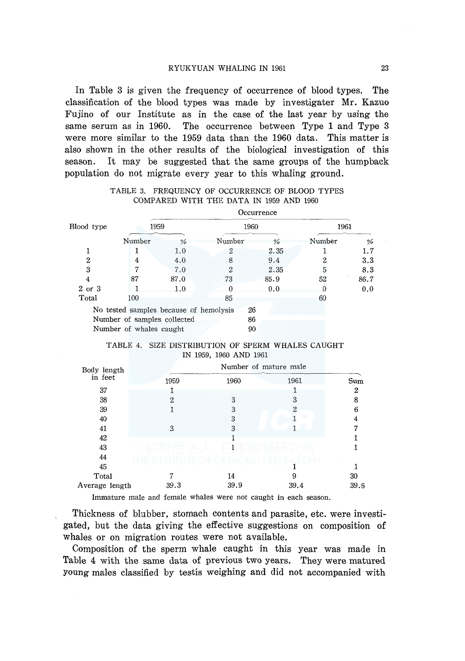In Table 3 is given the frequency of occurrence of blood types. The classification of the blood types was made by investigater Mr. Kazuo Fujino of our Institute as in the case of the last year by using the same serum as in 1960. The occurrence between Type 1 and Type 3 were more similar to the 1959 data than the 1960 data. This matter is also shown in the other results of the biological investigation of this season. It may be suggested that the same groups of the humpback population do not migrate every year to this whaling ground.

|            |                                        |               |        | Occurrence    |        |      |  |
|------------|----------------------------------------|---------------|--------|---------------|--------|------|--|
| Blood type | 1959                                   |               | 1960   |               | 1961   |      |  |
|            | Number                                 | $\frac{a}{a}$ | Number | $\frac{a}{b}$ | Number | %    |  |
|            |                                        | 1.0           |        | 2.35          |        | 1.7  |  |
| 2          | 4                                      | 4.0           | 8      | 9.4           |        | 3.3  |  |
| 3          |                                        | 7.0           | 2      | 2.35          | 5      | 8.3  |  |
| 4          | 87                                     | 87.0          | 73     | 85.9          | 52     | 86.7 |  |
| 2 or 3     |                                        | 1.0           |        | 0.0           |        | 0.0  |  |
| Total      | 100                                    |               | 85     |               | 60     |      |  |
|            | No tested samples because of hemolysis |               | 26     |               |        |      |  |
|            | Number of samples collected            |               | 86     |               |        |      |  |
|            | Number of whales caught                |               | 90     |               |        |      |  |

# TABLE 3. FREQUENCY OF OCCURRENCE OF BLOOD TYPES COMPARED WITH THE DATA IN 1959 AND 1960

| TABLE 4. SIZE DISTRIBUTION OF SPERM WHALES CAUGHT |  |
|---------------------------------------------------|--|
| IN 1959, 1960 AND 1961                            |  |

| Body length    |      |      |      |      |
|----------------|------|------|------|------|
| in feet        | 1959 | 1960 | 1961 | Sum  |
| 37             |      |      |      | 2    |
| 38             | 2.   | 3    | 3    | 8    |
| 39             |      | 3    | 2    | 6    |
| 40             |      | 3    |      |      |
| 41             | 3    | 3    |      |      |
| 42             |      |      |      |      |
| 43             |      |      |      |      |
| 44             |      |      |      |      |
| 45             |      |      |      |      |
| Total          |      | 14   | 9    | 30   |
| Average length | 39.3 | 39.9 | 39.4 | 39.6 |

Immature male and female whales were not caught in each season.

Thickness of blubber, stomach contents and parasite, etc. were investigated, but the data giving the effective suggestions on composition of whales or on migration routes were not available.

Composition of the sperm whale caught in this year was made in Table 4 with the same data of previous two years. They were matured young males classified by testis weighing and did not accompanied with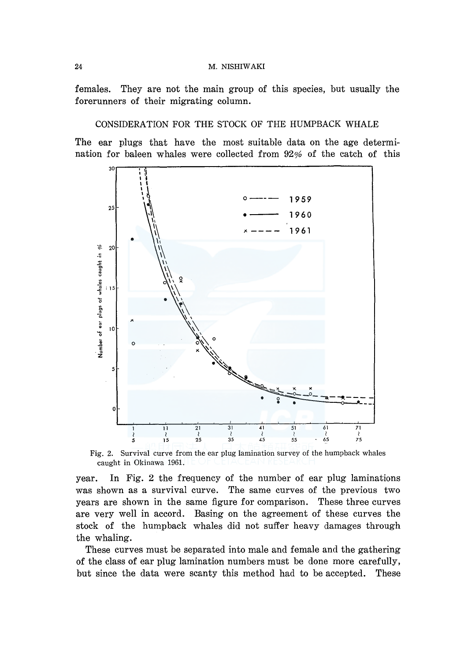24 M. NISHIW AKI

females. They are not the main group of this species, but usually the forerunners of their migrating column.

# CONSIDERATION FOR THE STOCK OF THE HUMPBACK WHALE

The ear plugs that have the most suitable data on the age determination for baleen whales were collected from 92% of the catch of this



Fig. 2. Survival curve from the ear plug lamination survey of the humpback whales caught in Okinawa 1961.

year. In Fig. 2 the frequency of the number of ear plug laminations was shown as a survival curve. The same curves of the previous two years are shown in the same figure for comparison. These three curves are very well in accord. Basing on the agreement of these curves the stock of the humpback whales did not suffer heavy damages through the whaling.

These curves must be separated into male and female and the gathering of the class of ear plug lamination numbers must be done more carefully, but since the data were scanty this method had to be accepted. These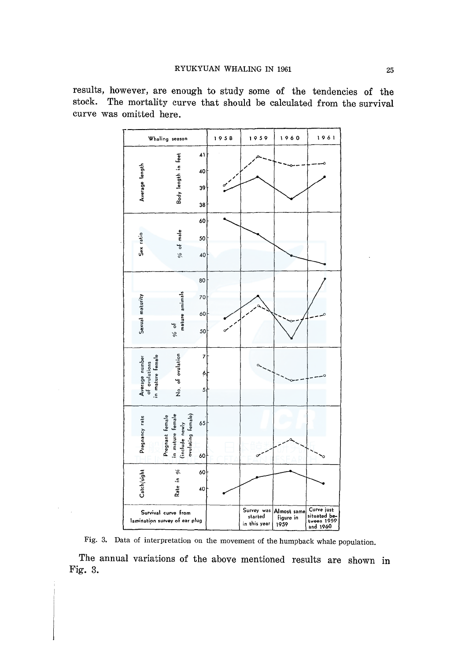results, however, are enough to study some of the tendencies of the stock. The mortality curve that should be calculated from the survival curve was omitted here.



Fig. 3. Data of interpretation on the movement of the humpback whale population.

The annual variations of the above mentioned results are shown in Fig. 3.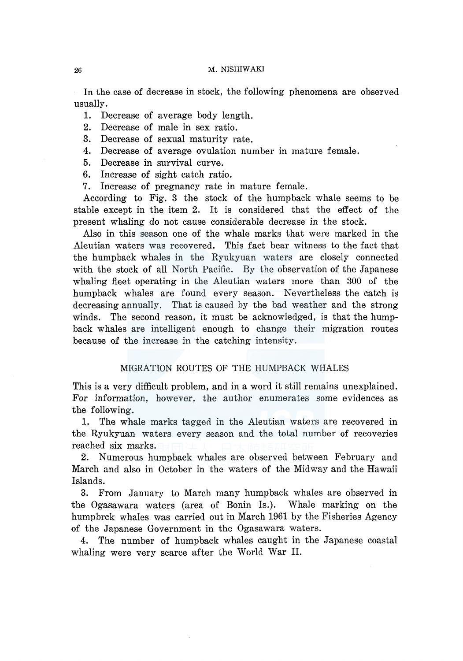In the case of decrease in stock, the following phenomena are observed usually.

1. Decrease of average body length.

2. Decrease of male in sex ratio.

3. Decrease of sexual maturity rate.

4. Decrease of average ovulation number in mature female.

5. Decrease in survival curve.

6. Increase of sight catch ratio.

7. Increase of pregnancy rate in mature female.

According to Fig. 3 the stock of the humpback whale seems to be stable except in the item 2. It is considered that the effect of the present whaling do not cause considerable decrease in the stock.

Also in this season one of the whale marks that were marked in the Aleutian waters was recovered. This fact bear witness to the fact that the humpback whales in the Ryukyuan waters are closely connected with the stock of all North Pacific. By the observation of the Japanese whaling fleet operating in the Aleutian waters more than 300 of the humpback whales are found every season. Nevertheless the catch is decreasing annually. That is caused by the bad weather and the strong winds. The second reason, it must be acknowledged, is that the humpback whales are intelligent enough to change their migration routes because of the increase in the catching intensity.

### MIGRATION ROUTES OF THE HUMPBACK WHALES

This is a very difficult problem, and in a word it still remains unexplained. For information, however, the author enumerates some evidences as the following.

1. The whale marks tagged in the Aleutian waters are recovered in the Ryukyuan waters every season and the total number of recoveries reached six marks.

2. Numerous humpback whales are observed between February and March and also in October in the waters of the Midway and the Hawaii Islands.

3. From January to March many humpback whales are observed in the Ogasawara waters (area of Bonin Is.). Whale marking on the humpbrck whales was carried out in March 1961 by the Fisheries Agency of the Japanese Government in the Ogasawara waters.

4. The number of humpback whales caught in the Japanese coastal whaling were very scarce after the World War II.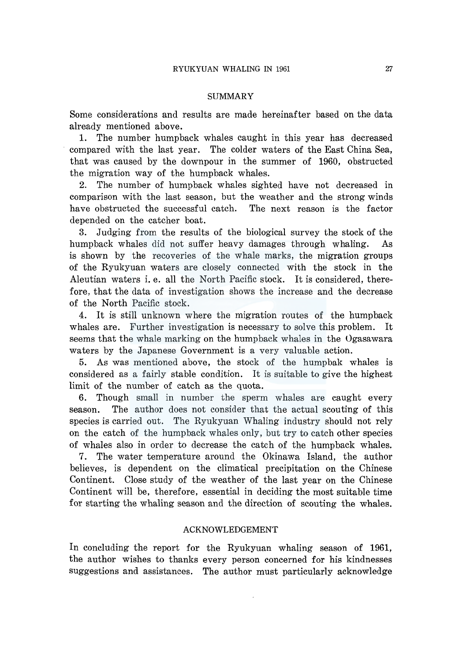#### SUMMARY

Some considerations and results are made hereinafter based on the data already mentioned above.

1. The number humpback whales caught in this year has decreased compared with the last year. The colder waters of the East China Sea, that was caused by the downpour in the summer of 1960, obstructed the migration way of the humpback whales.

2. The number of humpback whales sighted have not decreased in comparison with the last season, but the weather and the strong winds have obstructed the successful catch. The next reason is the factor depended on the catcher boat.

3. Judging from the results of the biological survey the stock of the humpback whales did not suffer heavy damages through whaling. As is shown by the recoveries of the whale marks, the migration groups of the Ryukyuan waters are closely connected with the stock in the Aleutian waters i. e. all the North Pacific stock. It is considered, therefore, that the data of investigation shows the increase and the decrease of the North Pacific stock.

4. It is still unknown where the migration routes of the humpback whales are. Further investigation is necessary to solve this problem. It seems that the whale marking on the humpback whales in the Ogasawara waters by the Japanese Government is a very valuable action.

5. As was mentioned above, the stock of the humpbak whales is considered as a fairly stable condition. It is suitable to give the highest limit of the number of catch as the quota.

6. Though small in number the sperm whales are caught every season. The author does not consider that the actual scouting of this species is carried out. The Ryukyuan Whaling industry should not rely on the catch of the humpback whales only, but try to catch other species of whales also in order to decrease the catch of the humpback whales.

7. The water temperature around the Okinawa Island, the author believes, is dependent on the climatical precipitation on the Chinese Continent. Close study of the weather of the last year on the Chinese Continent will be, therefore, essential in deciding the most suitable time for starting the whaling season and the direction of scouting the whales.

### ACKNOWLEDGEMENT

In concluding the report for the Ryukyuan whaling season of 1961, the author wishes to thanks every person concerned for his kindnesses suggestions and assistances. The author must particularly acknowledge